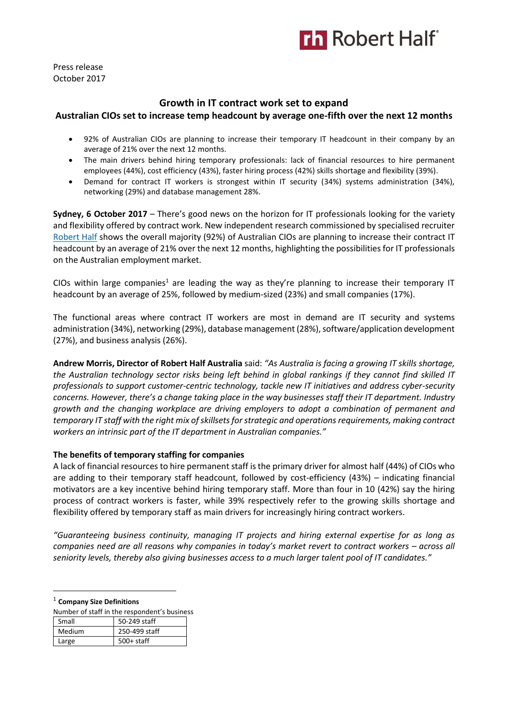

Press release October 2017

# **Growth in IT contract work set to expand**

# **Australian CIOs set to increase temp headcount by average one-fifth over the next 12 months**

- 92% of Australian CIOs are planning to increase their temporary IT headcount in their company by an average of 21% over the next 12 months.
- The main drivers behind hiring temporary professionals: lack of financial resources to hire permanent employees (44%), cost efficiency (43%), faster hiring process (42%) skills shortage and flexibility (39%).
- Demand for contract IT workers is strongest within IT security (34%) systems administration (34%), networking (29%) and database management 28%.

**Sydney, 6 October 2017** – There's good news on the horizon for IT professionals looking for the variety and flexibility offered by contract work. New independent research commissioned by specialised recruiter [Robert Half](https://www.roberthalf.com.au/?utm_source=roberthalf&utm_medium=pressrelease&utm_campaign=rh-all-nonspecific-ongoing) shows the overall majority (92%) of Australian CIOs are planning to increase their contract IT headcount by an average of 21% over the next 12 months, highlighting the possibilities for IT professionals on the Australian employment market.

CIOs within large companies<sup>1</sup> are leading the way as they're planning to increase their temporary IT headcount by an average of 25%, followed by medium-sized (23%) and small companies (17%).

The functional areas where contract IT workers are most in demand are IT security and systems administration (34%), networking (29%), database management (28%), software/application development (27%), and business analysis (26%).

**Andrew Morris, Director of Robert Half Australia** said: *"As Australia is facing a growing IT skills shortage, the Australian technology sector risks being left behind in global rankings if they cannot find skilled IT professionals to support customer-centric technology, tackle new IT initiatives and address cyber-security concerns. However, there's a change taking place in the way businesses staff their IT department. Industry growth and the changing workplace are driving employers to adopt a combination of permanent and temporary IT staff with the right mix of skillsets for strategic and operations requirements, making contract workers an intrinsic part of the IT department in Australian companies."*

### **The benefits of temporary staffing for companies**

A lack of financial resources to hire permanent staff is the primary driver for almost half (44%) of CIOs who are adding to their temporary staff headcount, followed by cost-efficiency (43%) – indicating financial motivators are a key incentive behind hiring temporary staff. More than four in 10 (42%) say the hiring process of contract workers is faster, while 39% respectively refer to the growing skills shortage and flexibility offered by temporary staff as main drivers for increasingly hiring contract workers.

*"Guaranteeing business continuity, managing IT projects and hiring external expertise for as long as companies need are all reasons why companies in today's market revert to contract workers – across all seniority levels, thereby also giving businesses access to a much larger talent pool of IT candidates."*

1 **Company Size Definitions** 

 $\overline{a}$ 

| Number of staff in the respondent's business |               |  |
|----------------------------------------------|---------------|--|
| Small                                        | 50-249 staff  |  |
| Medium                                       | 250-499 staff |  |
| Large                                        | $500+$ staff  |  |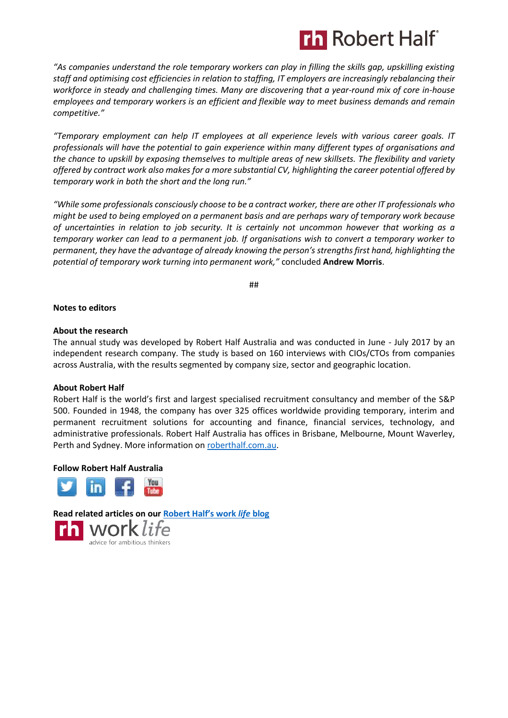

*"As companies understand the role temporary workers can play in filling the skills gap, upskilling existing staff and optimising cost efficiencies in relation to staffing, IT employers are increasingly rebalancing their workforce in steady and challenging times. Many are discovering that a year-round mix of core in-house employees and temporary workers is an efficient and flexible way to meet business demands and remain competitive."*

*"Temporary employment can help IT employees at all experience levels with various career goals. IT professionals will have the potential to gain experience within many different types of organisations and the chance to upskill by exposing themselves to multiple areas of new skillsets. The flexibility and variety offered by contract work also makes for a more substantial CV, highlighting the career potential offered by temporary work in both the short and the long run."*

*"While some professionals consciously choose to be a contract worker, there are other IT professionals who might be used to being employed on a permanent basis and are perhaps wary of temporary work because of uncertainties in relation to job security. It is certainly not uncommon however that working as a temporary worker can lead to a permanent job. If organisations wish to convert a temporary worker to permanent, they have the advantage of already knowing the person's strengths first hand, highlighting the potential of temporary work turning into permanent work,"* concluded **Andrew Morris**.

##

#### **Notes to editors**

#### **About the research**

The annual study was developed by Robert Half Australia and was conducted in June - July 2017 by an independent research company. The study is based on 160 interviews with CIOs/CTOs from companies across Australia, with the results segmented by company size, sector and geographic location.

### **About Robert Half**

Robert Half is the world's first and largest specialised recruitment consultancy and member of the S&P 500. Founded in 1948, the company has over 325 offices worldwide providing temporary, interim and permanent recruitment solutions for accounting and finance, financial services, technology, and administrative professionals. Robert Half Australia has offices in Brisbane, Melbourne, Mount Waverley, Perth and Sydney. More information o[n roberthalf.com.au.](https://www.roberthalf.com.au/?utm_source=roberthalf&utm_medium=pressrelease&utm_campaign=rh-all-nonspecific-ongoing)

#### **Follow Robert Half Australia**



**Read related articles on our [Robert Half's work](https://www.roberthalf.com.au/blog?utm_source=roberthalf&utm_medium=pressrelease&utm_campaign=rh-all-nonspecific-ongoing)** *life* **blog**work life advice for ambitious thinkers